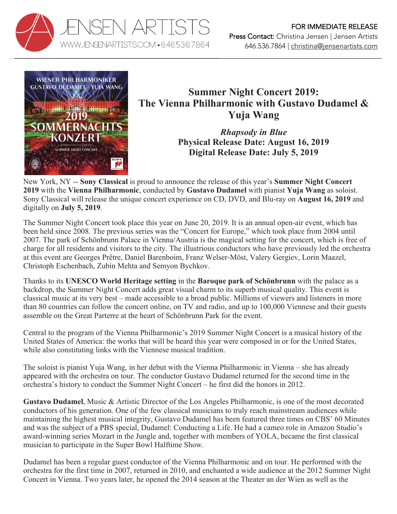



## **Summer Night Concert 2019: The Vienna Philharmonic with Gustavo Dudamel & Yuja Wang**

*Rhapsody in Blue* **Physical Release Date: August 16, 2019 Digital Release Date: July 5, 2019**

New York, NY -- **Sony Classical** is proud to announce the release of this year's **Summer Night Concert 2019** with the **Vienna Philharmonic**, conducted by **Gustavo Dudamel** with pianist **Yuja Wang** as soloist. Sony Classical will release the unique concert experience on CD, DVD, and Blu-ray on **August 16, 2019** and digitally on **July 5, 2019**.

The Summer Night Concert took place this year on June 20, 2019. It is an annual open-air event, which has been held since 2008. The previous series was the "Concert for Europe," which took place from 2004 until 2007. The park of Schönbrunn Palace in Vienna/Austria is the magical setting for the concert, which is free of charge for all residents and visitors to the city. The illustrious conductors who have previously led the orchestra at this event are Georges Prêtre, Daniel Barenboim, Franz Welser-Möst, Valery Gergiev, Lorin Maazel, Christoph Eschenbach, Zubin Mehta and Semyon Bychkov.

Thanks to its **UNESCO World Heritage setting** in the **Baroque park of Schönbrunn** with the palace as a backdrop, the Summer Night Concert adds great visual charm to its superb musical quality. This event is classical music at its very best – made accessible to a broad public. Millions of viewers and listeners in more than 80 countries can follow the concert online, on TV and radio, and up to 100,000 Viennese and their guests assemble on the Great Parterre at the heart of Schönbrunn Park for the event.

Central to the program of the Vienna Philharmonic's 2019 Summer Night Concert is a musical history of the United States of America: the works that will be heard this year were composed in or for the United States, while also constituting links with the Viennese musical tradition.

The soloist is pianist Yuja Wang, in her debut with the Vienna Philharmonic in Vienna – she has already appeared with the orchestra on tour. The conductor Gustavo Dudamel returned for the second time in the orchestra's history to conduct the Summer Night Concert – he first did the honors in 2012.

**Gustavo Dudamel**, Music & Artistic Director of the Los Angeles Philharmonic, is one of the most decorated conductors of his generation. One of the few classical musicians to truly reach mainstream audiences while maintaining the highest musical integrity, Gustavo Dudamel has been featured three times on CBS' 60 Minutes and was the subject of a PBS special, Dudamel: Conducting a Life. He had a cameo role in Amazon Studio's award-winning series Mozart in the Jungle and, together with members of YOLA, became the first classical musician to participate in the Super Bowl Halftime Show.

Dudamel has been a regular guest conductor of the Vienna Philharmonic and on tour. He performed with the orchestra for the first time in 2007, returned in 2010, and enchanted a wide audience at the 2012 Summer Night Concert in Vienna. Two years later, he opened the 2014 season at the Theater an der Wien as well as the